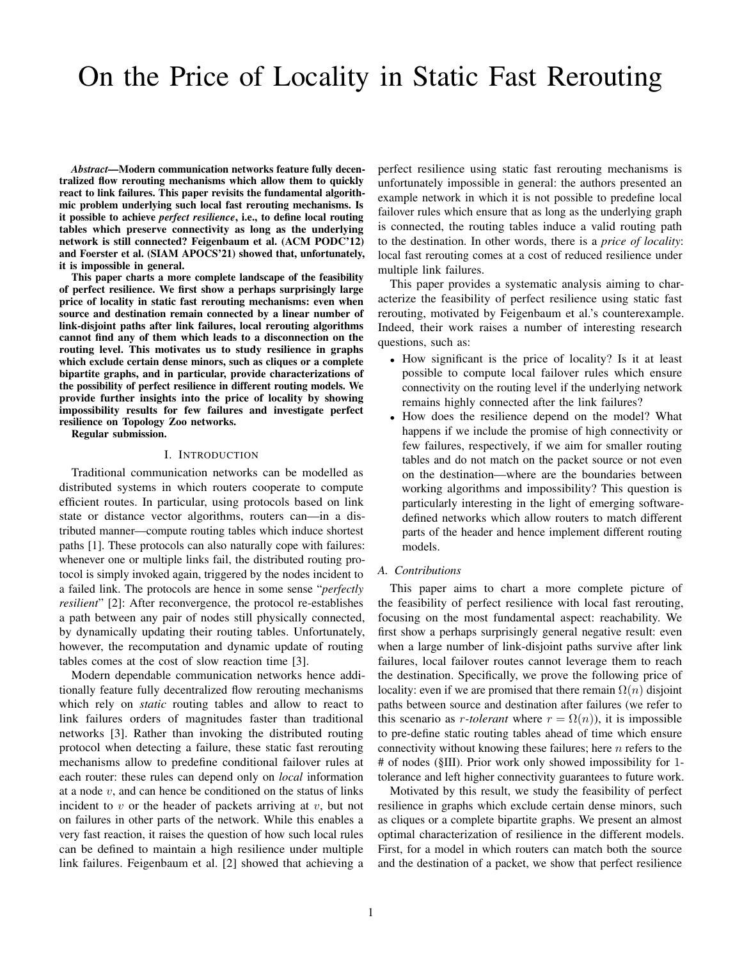# On the Price of Locality in Static Fast Rerouting

*Abstract*—Modern communication networks feature fully decentralized flow rerouting mechanisms which allow them to quickly react to link failures. This paper revisits the fundamental algorithmic problem underlying such local fast rerouting mechanisms. Is it possible to achieve *perfect resilience*, i.e., to define local routing tables which preserve connectivity as long as the underlying network is still connected? Feigenbaum et al. (ACM PODC'12) and Foerster et al. (SIAM APOCS'21) showed that, unfortunately, it is impossible in general.

This paper charts a more complete landscape of the feasibility of perfect resilience. We first show a perhaps surprisingly large price of locality in static fast rerouting mechanisms: even when source and destination remain connected by a linear number of link-disjoint paths after link failures, local rerouting algorithms cannot find any of them which leads to a disconnection on the routing level. This motivates us to study resilience in graphs which exclude certain dense minors, such as cliques or a complete bipartite graphs, and in particular, provide characterizations of the possibility of perfect resilience in different routing models. We provide further insights into the price of locality by showing impossibility results for few failures and investigate perfect resilience on Topology Zoo networks.

Regular submission.

## I. INTRODUCTION

Traditional communication networks can be modelled as distributed systems in which routers cooperate to compute efficient routes. In particular, using protocols based on link state or distance vector algorithms, routers can—in a distributed manner—compute routing tables which induce shortest paths [1]. These protocols can also naturally cope with failures: whenever one or multiple links fail, the distributed routing protocol is simply invoked again, triggered by the nodes incident to a failed link. The protocols are hence in some sense "*perfectly resilient*" [2]: After reconvergence, the protocol re-establishes a path between any pair of nodes still physically connected, by dynamically updating their routing tables. Unfortunately, however, the recomputation and dynamic update of routing tables comes at the cost of slow reaction time [3].

Modern dependable communication networks hence additionally feature fully decentralized flow rerouting mechanisms which rely on *static* routing tables and allow to react to link failures orders of magnitudes faster than traditional networks [3]. Rather than invoking the distributed routing protocol when detecting a failure, these static fast rerouting mechanisms allow to predefine conditional failover rules at each router: these rules can depend only on *local* information at a node  $v$ , and can hence be conditioned on the status of links incident to  $v$  or the header of packets arriving at  $v$ , but not on failures in other parts of the network. While this enables a very fast reaction, it raises the question of how such local rules can be defined to maintain a high resilience under multiple link failures. Feigenbaum et al. [2] showed that achieving a

perfect resilience using static fast rerouting mechanisms is unfortunately impossible in general: the authors presented an example network in which it is not possible to predefine local failover rules which ensure that as long as the underlying graph is connected, the routing tables induce a valid routing path to the destination. In other words, there is a *price of locality*: local fast rerouting comes at a cost of reduced resilience under multiple link failures.

This paper provides a systematic analysis aiming to characterize the feasibility of perfect resilience using static fast rerouting, motivated by Feigenbaum et al.'s counterexample. Indeed, their work raises a number of interesting research questions, such as:

- How significant is the price of locality? Is it at least possible to compute local failover rules which ensure connectivity on the routing level if the underlying network remains highly connected after the link failures?
- How does the resilience depend on the model? What happens if we include the promise of high connectivity or few failures, respectively, if we aim for smaller routing tables and do not match on the packet source or not even on the destination—where are the boundaries between working algorithms and impossibility? This question is particularly interesting in the light of emerging softwaredefined networks which allow routers to match different parts of the header and hence implement different routing models.

# *A. Contributions*

This paper aims to chart a more complete picture of the feasibility of perfect resilience with local fast rerouting, focusing on the most fundamental aspect: reachability. We first show a perhaps surprisingly general negative result: even when a large number of link-disjoint paths survive after link failures, local failover routes cannot leverage them to reach the destination. Specifically, we prove the following price of locality: even if we are promised that there remain  $\Omega(n)$  disjoint paths between source and destination after failures (we refer to this scenario as *r*-tolerant where  $r = \Omega(n)$ , it is impossible to pre-define static routing tables ahead of time which ensure connectivity without knowing these failures; here  $n$  refers to the # of nodes (§III). Prior work only showed impossibility for 1 tolerance and left higher connectivity guarantees to future work.

Motivated by this result, we study the feasibility of perfect resilience in graphs which exclude certain dense minors, such as cliques or a complete bipartite graphs. We present an almost optimal characterization of resilience in the different models. First, for a model in which routers can match both the source and the destination of a packet, we show that perfect resilience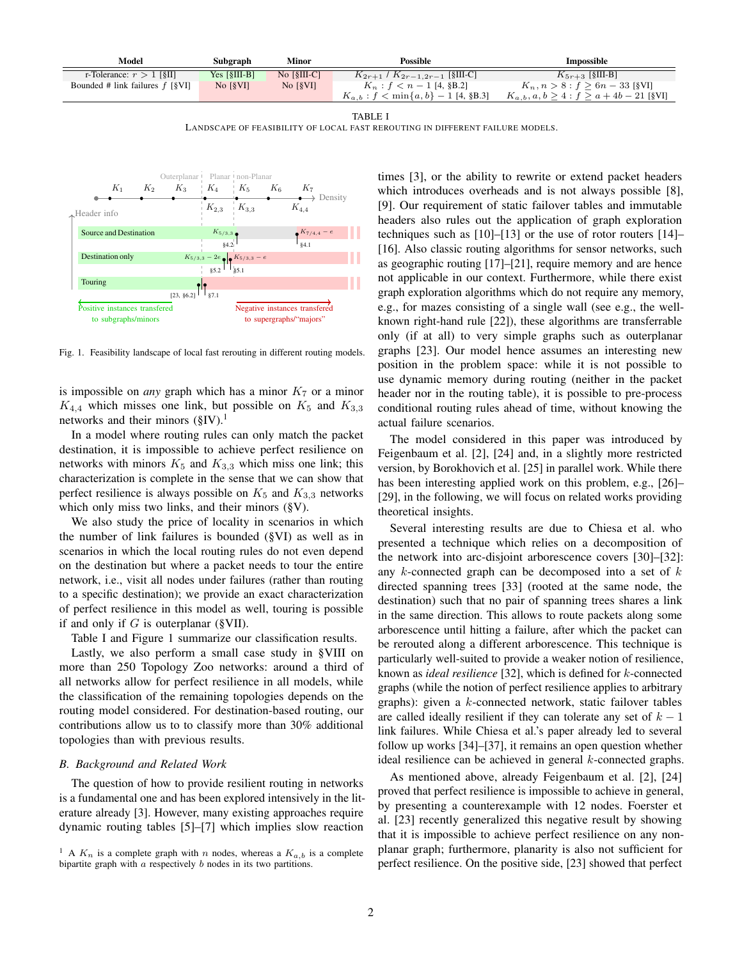| Model                             | Subgraph                            | Minor                                                       | <b>Possible</b>                          | Impossible                                  |
|-----------------------------------|-------------------------------------|-------------------------------------------------------------|------------------------------------------|---------------------------------------------|
| r-Tolerance: $r > 1$ [§II]        | Yes $\lceil \frac{8}{111-B} \rceil$ | No $[\S$ III-C]                                             | $K_{2r+1}$ / $K_{2r-1,2r-1}$ [§III-C]    | $K_{5r+3}$ [§III-B]                         |
| Bounded # link failures $f$ [§VI] | No $\left[\S\rm{VI}\right]$         | $\overline{N}$ $\overline{S}$ $\overline{V}$ $\overline{S}$ | $K_n$ : $f < n-1$ [4, §B.2]              | $K_n, n > 8 : f \ge 6n - 33$ [§VI]          |
|                                   |                                     |                                                             | $K_{a,b}: f < \min\{a,b\} - 1$ [4, §B.3] | $K_{a,b}, a, b > 4 : f > a + 4b - 21$ [§VI] |

LANDSCAPE OF FEASIBILITY OF LOCAL FAST REROUTING IN DIFFERENT FAILURE MODELS.



Fig. 1. Feasibility landscape of local fast rerouting in different routing models.

is impossible on *any* graph which has a minor  $K<sub>7</sub>$  or a minor  $K_{4,4}$  which misses one link, but possible on  $K_5$  and  $K_{3,3}$ networks and their minors  $(\S IV).$ <sup>1</sup>

In a model where routing rules can only match the packet destination, it is impossible to achieve perfect resilience on networks with minors  $K_5$  and  $K_{3,3}$  which miss one link; this characterization is complete in the sense that we can show that perfect resilience is always possible on  $K_5$  and  $K_{3,3}$  networks which only miss two links, and their minors (§V).

We also study the price of locality in scenarios in which the number of link failures is bounded (§VI) as well as in scenarios in which the local routing rules do not even depend on the destination but where a packet needs to tour the entire network, i.e., visit all nodes under failures (rather than routing to a specific destination); we provide an exact characterization of perfect resilience in this model as well, touring is possible if and only if  $G$  is outerplanar (§VII).

Table I and Figure 1 summarize our classification results.

Lastly, we also perform a small case study in §VIII on more than 250 Topology Zoo networks: around a third of all networks allow for perfect resilience in all models, while the classification of the remaining topologies depends on the routing model considered. For destination-based routing, our contributions allow us to to classify more than 30% additional topologies than with previous results.

## *B. Background and Related Work*

The question of how to provide resilient routing in networks is a fundamental one and has been explored intensively in the literature already [3]. However, many existing approaches require dynamic routing tables [5]–[7] which implies slow reaction

times [3], or the ability to rewrite or extend packet headers which introduces overheads and is not always possible [8], [9]. Our requirement of static failover tables and immutable headers also rules out the application of graph exploration techniques such as [10]–[13] or the use of rotor routers [14]– [16]. Also classic routing algorithms for sensor networks, such as geographic routing [17]–[21], require memory and are hence not applicable in our context. Furthermore, while there exist graph exploration algorithms which do not require any memory, e.g., for mazes consisting of a single wall (see e.g., the wellknown right-hand rule [22]), these algorithms are transferrable only (if at all) to very simple graphs such as outerplanar graphs [23]. Our model hence assumes an interesting new position in the problem space: while it is not possible to use dynamic memory during routing (neither in the packet header nor in the routing table), it is possible to pre-process conditional routing rules ahead of time, without knowing the actual failure scenarios.

The model considered in this paper was introduced by Feigenbaum et al. [2], [24] and, in a slightly more restricted version, by Borokhovich et al. [25] in parallel work. While there has been interesting applied work on this problem, e.g., [26]– [29], in the following, we will focus on related works providing theoretical insights.

Several interesting results are due to Chiesa et al. who presented a technique which relies on a decomposition of the network into arc-disjoint arborescence covers [30]–[32]: any  $k$ -connected graph can be decomposed into a set of  $k$ directed spanning trees [33] (rooted at the same node, the destination) such that no pair of spanning trees shares a link in the same direction. This allows to route packets along some arborescence until hitting a failure, after which the packet can be rerouted along a different arborescence. This technique is particularly well-suited to provide a weaker notion of resilience, known as *ideal resilience* [32], which is defined for k-connected graphs (while the notion of perfect resilience applies to arbitrary graphs): given a k-connected network, static failover tables are called ideally resilient if they can tolerate any set of  $k - 1$ link failures. While Chiesa et al.'s paper already led to several follow up works [34]–[37], it remains an open question whether ideal resilience can be achieved in general k-connected graphs.

As mentioned above, already Feigenbaum et al. [2], [24] proved that perfect resilience is impossible to achieve in general, by presenting a counterexample with 12 nodes. Foerster et al. [23] recently generalized this negative result by showing that it is impossible to achieve perfect resilience on any nonplanar graph; furthermore, planarity is also not sufficient for perfect resilience. On the positive side, [23] showed that perfect

<sup>&</sup>lt;sup>1</sup> A  $K_n$  is a complete graph with n nodes, whereas a  $K_{a,b}$  is a complete bipartite graph with  $a$  respectively  $b$  nodes in its two partitions.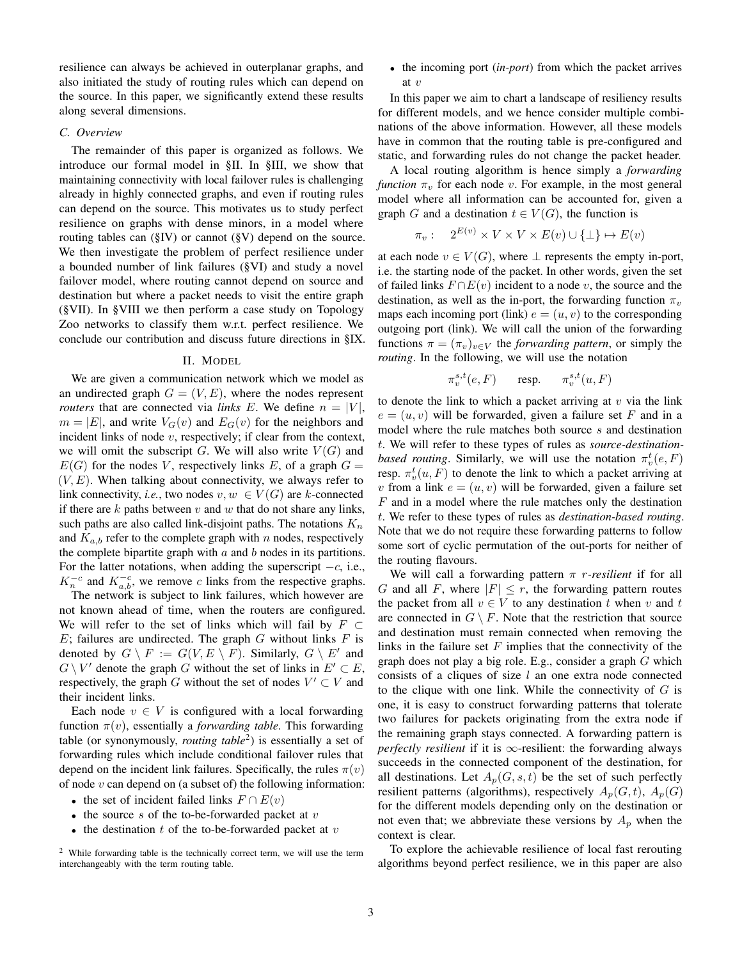resilience can always be achieved in outerplanar graphs, and also initiated the study of routing rules which can depend on the source. In this paper, we significantly extend these results along several dimensions.

#### *C. Overview*

The remainder of this paper is organized as follows. We introduce our formal model in §II. In §III, we show that maintaining connectivity with local failover rules is challenging already in highly connected graphs, and even if routing rules can depend on the source. This motivates us to study perfect resilience on graphs with dense minors, in a model where routing tables can (§IV) or cannot (§V) depend on the source. We then investigate the problem of perfect resilience under a bounded number of link failures (§VI) and study a novel failover model, where routing cannot depend on source and destination but where a packet needs to visit the entire graph (§VII). In §VIII we then perform a case study on Topology Zoo networks to classify them w.r.t. perfect resilience. We conclude our contribution and discuss future directions in §IX.

#### II. MODEL

We are given a communication network which we model as an undirected graph  $G = (V, E)$ , where the nodes represent *routers* that are connected via *links* E. We define  $n = |V|$ ,  $m = |E|$ , and write  $V_G(v)$  and  $E_G(v)$  for the neighbors and incident links of node  $v$ , respectively; if clear from the context, we will omit the subscript G. We will also write  $V(G)$  and  $E(G)$  for the nodes V, respectively links E, of a graph  $G =$  $(V, E)$ . When talking about connectivity, we always refer to link connectivity, *i.e.*, two nodes  $v, w \in V(G)$  are k-connected if there are  $k$  paths between  $v$  and  $w$  that do not share any links, such paths are also called link-disjoint paths. The notations  $K_n$ and  $K_{a,b}$  refer to the complete graph with n nodes, respectively the complete bipartite graph with  $a$  and  $b$  nodes in its partitions. For the latter notations, when adding the superscript  $-c$ , i.e.,  $K_n^{-c}$  and  $K_{a,b}^{-c}$ , we remove c links from the respective graphs.

The network is subject to link failures, which however are not known ahead of time, when the routers are configured. We will refer to the set of links which will fail by  $F \subset$  $E$ ; failures are undirected. The graph  $G$  without links  $F$  is denoted by  $G \setminus F := G(V, E \setminus F)$ . Similarly,  $G \setminus E'$  and  $G \setminus V'$  denote the graph G without the set of links in  $E' \subset E$ , respectively, the graph G without the set of nodes  $V' \subset V$  and their incident links.

Each node  $v \in V$  is configured with a local forwarding function  $\pi(v)$ , essentially a *forwarding table*. This forwarding table (or synonymously, *routing table*<sup>2</sup> ) is essentially a set of forwarding rules which include conditional failover rules that depend on the incident link failures. Specifically, the rules  $\pi(v)$ of node  $v$  can depend on (a subset of) the following information:

- the set of incident failed links  $F \cap E(v)$
- the source s of the to-be-forwarded packet at  $v$
- the destination  $t$  of the to-be-forwarded packet at  $v$

• the incoming port (*in-port*) from which the packet arrives at  $v$ 

In this paper we aim to chart a landscape of resiliency results for different models, and we hence consider multiple combinations of the above information. However, all these models have in common that the routing table is pre-configured and static, and forwarding rules do not change the packet header.

A local routing algorithm is hence simply a *forwarding function*  $\pi_v$  for each node v. For example, in the most general model where all information can be accounted for, given a graph G and a destination  $t \in V(G)$ , the function is

$$
\pi_v: \quad 2^{E(v)} \times V \times V \times E(v) \cup \{\bot\} \mapsto E(v)
$$

at each node  $v \in V(G)$ , where  $\perp$  represents the empty in-port, i.e. the starting node of the packet. In other words, given the set of failed links  $F \cap E(v)$  incident to a node v, the source and the destination, as well as the in-port, the forwarding function  $\pi_v$ maps each incoming port (link)  $e = (u, v)$  to the corresponding outgoing port (link). We will call the union of the forwarding functions  $\pi = (\pi_v)_{v \in V}$  the *forwarding pattern*, or simply the *routing*. In the following, we will use the notation

$$
\pi^{s,t}_v(e,F) \qquad \text{resp.} \qquad \pi^{s,t}_v(u,F)
$$

to denote the link to which a packet arriving at  $v$  via the link  $e = (u, v)$  will be forwarded, given a failure set F and in a model where the rule matches both source s and destination t. We will refer to these types of rules as *source-destinationbased routing*. Similarly, we will use the notation  $\pi_v^t(e, F)$ resp.  $\pi_v^t(u, F)$  to denote the link to which a packet arriving at v from a link  $e = (u, v)$  will be forwarded, given a failure set F and in a model where the rule matches only the destination t. We refer to these types of rules as *destination-based routing*. Note that we do not require these forwarding patterns to follow some sort of cyclic permutation of the out-ports for neither of the routing flavours.

We will call a forwarding pattern π r*-resilient* if for all G and all F, where  $|F| \leq r$ , the forwarding pattern routes the packet from all  $v \in V$  to any destination t when v and t are connected in  $G \setminus F$ . Note that the restriction that source and destination must remain connected when removing the links in the failure set  $F$  implies that the connectivity of the graph does not play a big role. E.g., consider a graph  $G$  which consists of a cliques of size l an one extra node connected to the clique with one link. While the connectivity of  $G$  is one, it is easy to construct forwarding patterns that tolerate two failures for packets originating from the extra node if the remaining graph stays connected. A forwarding pattern is *perfectly resilient* if it is ∞-resilient: the forwarding always succeeds in the connected component of the destination, for all destinations. Let  $A_p(G, s, t)$  be the set of such perfectly resilient patterns (algorithms), respectively  $A_p(G, t)$ ,  $A_p(G)$ for the different models depending only on the destination or not even that; we abbreviate these versions by  $A_p$  when the context is clear.

To explore the achievable resilience of local fast rerouting algorithms beyond perfect resilience, we in this paper are also

<sup>&</sup>lt;sup>2</sup> While forwarding table is the technically correct term, we will use the term interchangeably with the term routing table.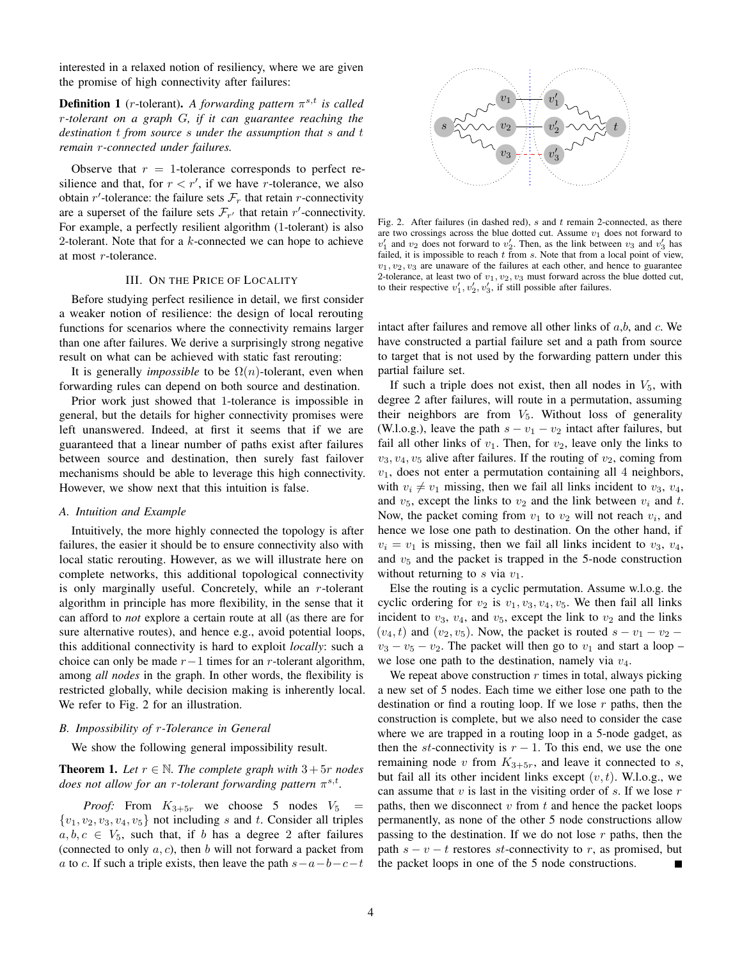interested in a relaxed notion of resiliency, where we are given the promise of high connectivity after failures:

**Definition 1** (*r*-tolerant). A forwarding pattern  $\pi^{s,t}$  is called r*-tolerant on a graph* G*, if it can guarantee reaching the destination* t *from source* s *under the assumption that* s *and* t *remain* r*-connected under failures.*

Observe that  $r = 1$ -tolerance corresponds to perfect resilience and that, for  $r < r'$ , if we have r-tolerance, we also obtain r'-tolerance: the failure sets  $\mathcal{F}_r$  that retain r-connectivity are a superset of the failure sets  $\mathcal{F}_{r'}$  that retain r'-connectivity. For example, a perfectly resilient algorithm (1-tolerant) is also 2-tolerant. Note that for a  $k$ -connected we can hope to achieve at most r-tolerance.

## III. ON THE PRICE OF LOCALITY

Before studying perfect resilience in detail, we first consider a weaker notion of resilience: the design of local rerouting functions for scenarios where the connectivity remains larger than one after failures. We derive a surprisingly strong negative result on what can be achieved with static fast rerouting:

It is generally *impossible* to be  $\Omega(n)$ -tolerant, even when forwarding rules can depend on both source and destination.

Prior work just showed that 1-tolerance is impossible in general, but the details for higher connectivity promises were left unanswered. Indeed, at first it seems that if we are guaranteed that a linear number of paths exist after failures between source and destination, then surely fast failover mechanisms should be able to leverage this high connectivity. However, we show next that this intuition is false.

## *A. Intuition and Example*

Intuitively, the more highly connected the topology is after failures, the easier it should be to ensure connectivity also with local static rerouting. However, as we will illustrate here on complete networks, this additional topological connectivity is only marginally useful. Concretely, while an  $r$ -tolerant algorithm in principle has more flexibility, in the sense that it can afford to *not* explore a certain route at all (as there are for sure alternative routes), and hence e.g., avoid potential loops, this additional connectivity is hard to exploit *locally*: such a choice can only be made  $r-1$  times for an r-tolerant algorithm, among *all nodes* in the graph. In other words, the flexibility is restricted globally, while decision making is inherently local. We refer to Fig. 2 for an illustration.

## *B. Impossibility of* r*-Tolerance in General*

We show the following general impossibility result.

**Theorem 1.** Let  $r \in \mathbb{N}$ . The complete graph with  $3+5r$  nodes does not allow for an *r*-tolerant forwarding pattern  $π^{s,t}$ .

*Proof:* From  $K_{3+5r}$  we choose 5 nodes  $V_5$  =  $\{v_1, v_2, v_3, v_4, v_5\}$  not including s and t. Consider all triples  $a, b, c \in V_5$ , such that, if b has a degree 2 after failures (connected to only  $a, c$ ), then b will not forward a packet from a to c. If such a triple exists, then leave the path  $s-a-b-c-t$ 



Fig. 2. After failures (in dashed red),  $s$  and  $t$  remain 2-connected, as there are two crossings across the blue dotted cut. Assume  $v_1$  does not forward to  $v'_1$  and  $v_2$  does not forward to  $v'_2$ . Then, as the link between  $v_3$  and  $v'_3$  has failed, it is impossible to reach  $t$  from  $s$ . Note that from a local point of view,  $v_1, v_2, v_3$  are unaware of the failures at each other, and hence to guarantee 2-tolerance, at least two of  $v_1, v_2, v_3$  must forward across the blue dotted cut, to their respective  $v'_1, v'_2, v'_3$ , if still possible after failures.

intact after failures and remove all other links of  $a,b$ , and  $c$ . We have constructed a partial failure set and a path from source to target that is not used by the forwarding pattern under this partial failure set.

If such a triple does not exist, then all nodes in  $V_5$ , with degree 2 after failures, will route in a permutation, assuming their neighbors are from  $V_5$ . Without loss of generality (W.l.o.g.), leave the path  $s - v_1 - v_2$  intact after failures, but fail all other links of  $v_1$ . Then, for  $v_2$ , leave only the links to  $v_3, v_4, v_5$  alive after failures. If the routing of  $v_2$ , coming from  $v_1$ , does not enter a permutation containing all 4 neighbors, with  $v_i \neq v_1$  missing, then we fail all links incident to  $v_3$ ,  $v_4$ , and  $v_5$ , except the links to  $v_2$  and the link between  $v_i$  and t. Now, the packet coming from  $v_1$  to  $v_2$  will not reach  $v_i$ , and hence we lose one path to destination. On the other hand, if  $v_i = v_1$  is missing, then we fail all links incident to  $v_3$ ,  $v_4$ , and  $v<sub>5</sub>$  and the packet is trapped in the 5-node construction without returning to s via  $v_1$ .

Else the routing is a cyclic permutation. Assume w.l.o.g. the cyclic ordering for  $v_2$  is  $v_1, v_3, v_4, v_5$ . We then fail all links incident to  $v_3$ ,  $v_4$ , and  $v_5$ , except the link to  $v_2$  and the links  $(v_4, t)$  and  $(v_2, v_5)$ . Now, the packet is routed  $s - v_1 - v_2$  $v_3 - v_5 - v_2$ . The packet will then go to  $v_1$  and start a loop – we lose one path to the destination, namely via  $v_4$ .

We repeat above construction  $r$  times in total, always picking a new set of 5 nodes. Each time we either lose one path to the destination or find a routing loop. If we lose  $r$  paths, then the construction is complete, but we also need to consider the case where we are trapped in a routing loop in a 5-node gadget, as then the st-connectivity is  $r - 1$ . To this end, we use the one remaining node v from  $K_{3+5r}$ , and leave it connected to s, but fail all its other incident links except  $(v, t)$ . W.l.o.g., we can assume that  $v$  is last in the visiting order of  $s$ . If we lose  $r$ paths, then we disconnect  $v$  from  $t$  and hence the packet loops permanently, as none of the other 5 node constructions allow passing to the destination. If we do not lose  $r$  paths, then the path  $s - v - t$  restores st-connectivity to r, as promised, but the packet loops in one of the 5 node constructions.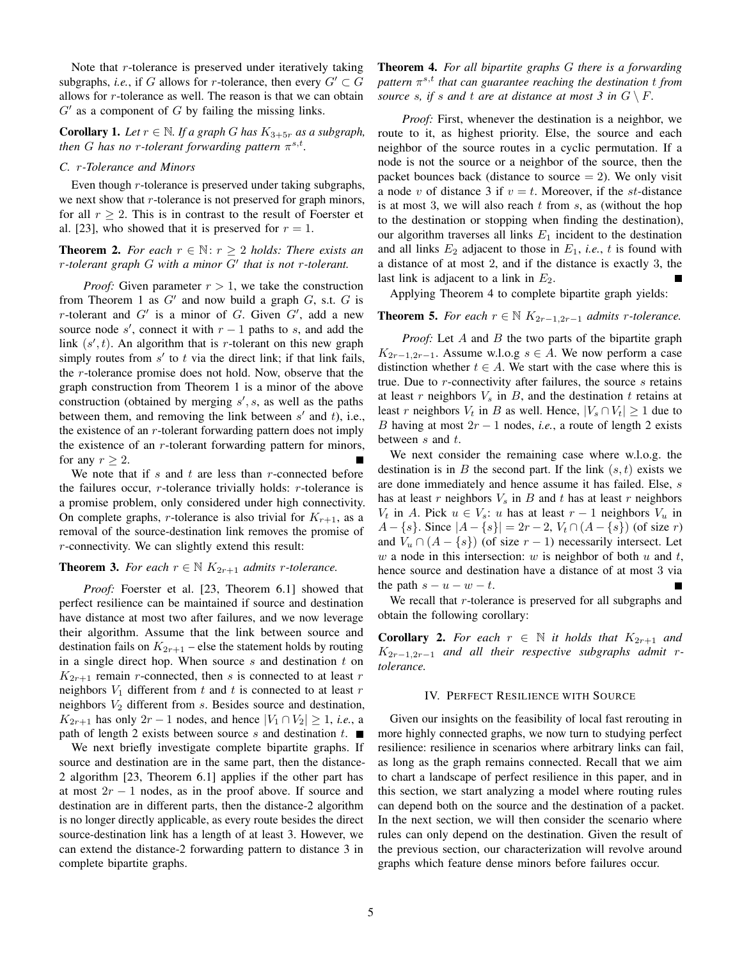Note that  $r$ -tolerance is preserved under iteratively taking subgraphs, *i.e.*, if G allows for r-tolerance, then every  $G' \subset G$ allows for r-tolerance as well. The reason is that we can obtain  $G'$  as a component of  $G$  by failing the missing links.

**Corollary 1.** *Let*  $r \in \mathbb{N}$ *. If a graph G has*  $K_{3+5r}$  *as a subgraph, then* G has no r-tolerant forwarding pattern  $\pi^{s,t}$ .

#### *C.* r*-Tolerance and Minors*

Even though  $r$ -tolerance is preserved under taking subgraphs, we next show that  $r$ -tolerance is not preserved for graph minors, for all  $r > 2$ . This is in contrast to the result of Foerster et al. [23], who showed that it is preserved for  $r = 1$ .

**Theorem 2.** *For each*  $r \in \mathbb{N}$ :  $r \geq 2$  *holds: There exists an* r*-tolerant graph* G *with a minor* G′ *that is not* r*-tolerant.*

*Proof:* Given parameter  $r > 1$ , we take the construction from Theorem 1 as  $G'$  and now build a graph  $G$ , s.t.  $G$  is r-tolerant and  $G'$  is a minor of G. Given  $G'$ , add a new source node  $s'$ , connect it with  $r - 1$  paths to s, and add the link  $(s', t)$ . An algorithm that is r-tolerant on this new graph simply routes from  $s'$  to  $t$  via the direct link; if that link fails, the r-tolerance promise does not hold. Now, observe that the graph construction from Theorem 1 is a minor of the above construction (obtained by merging  $s'$ , s, as well as the paths between them, and removing the link between  $s'$  and  $t$ ), i.e., the existence of an  $r$ -tolerant forwarding pattern does not imply the existence of an  $r$ -tolerant forwarding pattern for minors, for any  $r \geq 2$ .

We note that if  $s$  and  $t$  are less than  $r$ -connected before the failures occur,  $r$ -tolerance trivially holds:  $r$ -tolerance is a promise problem, only considered under high connectivity. On complete graphs, r-tolerance is also trivial for  $K_{r+1}$ , as a removal of the source-destination link removes the promise of r-connectivity. We can slightly extend this result:

# **Theorem 3.** *For each*  $r \in \mathbb{N}$   $K_{2r+1}$  *admits r*-tolerance.

*Proof:* Foerster et al. [23, Theorem 6.1] showed that perfect resilience can be maintained if source and destination have distance at most two after failures, and we now leverage their algorithm. Assume that the link between source and destination fails on  $K_{2r+1}$  – else the statement holds by routing in a single direct hop. When source  $s$  and destination  $t$  on  $K_{2r+1}$  remain *r*-connected, then *s* is connected to at least *r* neighbors  $V_1$  different from  $t$  and  $t$  is connected to at least  $r$ neighbors  $V_2$  different from  $s$ . Besides source and destination,  $K_{2r+1}$  has only  $2r-1$  nodes, and hence  $|V_1 \cap V_2| \geq 1$ , *i.e.*, a path of length 2 exists between source s and destination t.  $\blacksquare$ 

We next briefly investigate complete bipartite graphs. If source and destination are in the same part, then the distance-2 algorithm [23, Theorem 6.1] applies if the other part has at most  $2r - 1$  nodes, as in the proof above. If source and destination are in different parts, then the distance-2 algorithm is no longer directly applicable, as every route besides the direct source-destination link has a length of at least 3. However, we can extend the distance-2 forwarding pattern to distance 3 in complete bipartite graphs.

Theorem 4. *For all bipartite graphs* G *there is a forwarding pattern* π s,t *that can guarantee reaching the destination* t *from source s, if s* and *t* are at distance at most 3 in  $G \setminus F$ .

*Proof:* First, whenever the destination is a neighbor, we route to it, as highest priority. Else, the source and each neighbor of the source routes in a cyclic permutation. If a node is not the source or a neighbor of the source, then the packet bounces back (distance to source  $= 2$ ). We only visit a node v of distance 3 if  $v = t$ . Moreover, if the st-distance is at most 3, we will also reach  $t$  from  $s$ , as (without the hop to the destination or stopping when finding the destination), our algorithm traverses all links  $E_1$  incident to the destination and all links  $E_2$  adjacent to those in  $E_1$ , *i.e.*, *t* is found with a distance of at most 2, and if the distance is exactly 3, the last link is adjacent to a link in  $E_2$ .

Applying Theorem 4 to complete bipartite graph yields:

## **Theorem 5.** *For each*  $r \in \mathbb{N}$   $K_{2r-1,2r-1}$  *admits r*-tolerance.

*Proof:* Let A and B the two parts of the bipartite graph  $K_{2r-1,2r-1}$ . Assume w.l.o.g  $s \in A$ . We now perform a case distinction whether  $t \in A$ . We start with the case where this is true. Due to  $r$ -connectivity after failures, the source  $s$  retains at least r neighbors  $V_s$  in B, and the destination t retains at least r neighbors  $V_t$  in B as well. Hence,  $|V_s \cap V_t| \ge 1$  due to B having at most  $2r - 1$  nodes, *i.e.*, a route of length 2 exists between  $s$  and  $t$ .

We next consider the remaining case where w.l.o.g. the destination is in B the second part. If the link  $(s, t)$  exists we are done immediately and hence assume it has failed. Else, s has at least r neighbors  $V_s$  in B and t has at least r neighbors  $V_t$  in A. Pick  $u \in V_s$ : u has at least  $r-1$  neighbors  $V_u$  in  $A - \{s\}$ . Since  $|A - \{s\}| = 2r - 2$ ,  $V_t \cap (A - \{s\})$  (of size r) and  $V_u \cap (A - \{s\})$  (of size  $r - 1$ ) necessarily intersect. Let w a node in this intersection: w is neighbor of both  $u$  and  $t$ , hence source and destination have a distance of at most 3 via the path  $s - u - w - t$ .

We recall that  $r$ -tolerance is preserved for all subgraphs and obtain the following corollary:

**Corollary 2.** For each  $r \in \mathbb{N}$  it holds that  $K_{2r+1}$  and K2r−1,2r−<sup>1</sup> *and all their respective subgraphs admit* r*tolerance.*

#### IV. PERFECT RESILIENCE WITH SOURCE

Given our insights on the feasibility of local fast rerouting in more highly connected graphs, we now turn to studying perfect resilience: resilience in scenarios where arbitrary links can fail, as long as the graph remains connected. Recall that we aim to chart a landscape of perfect resilience in this paper, and in this section, we start analyzing a model where routing rules can depend both on the source and the destination of a packet. In the next section, we will then consider the scenario where rules can only depend on the destination. Given the result of the previous section, our characterization will revolve around graphs which feature dense minors before failures occur.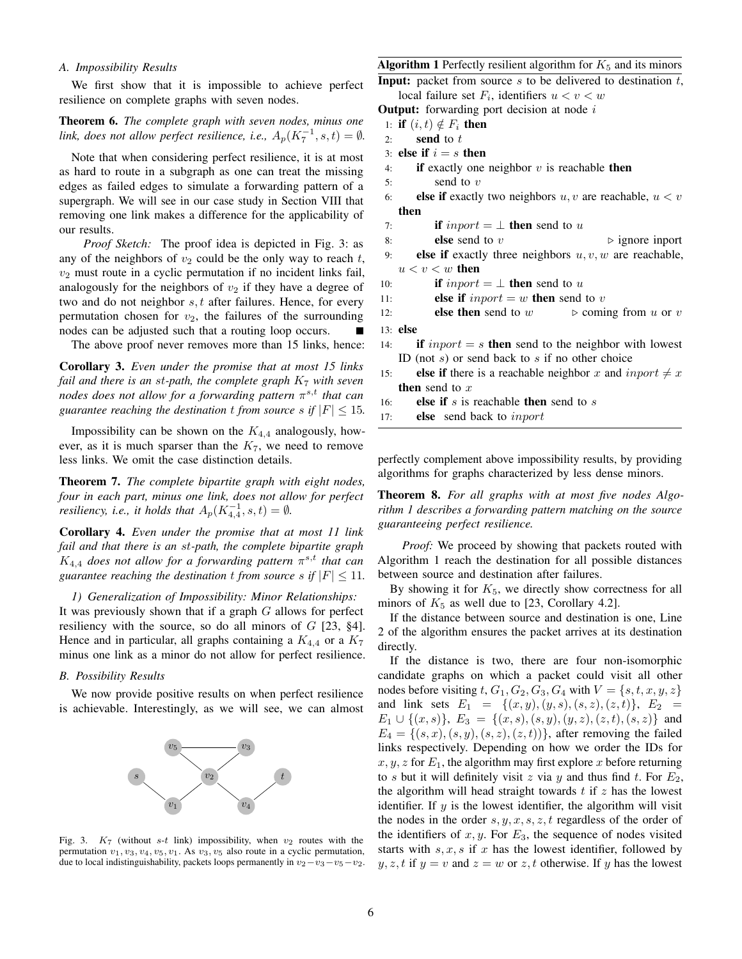## *A. Impossibility Results*

We first show that it is impossible to achieve perfect resilience on complete graphs with seven nodes.

Theorem 6. *The complete graph with seven nodes, minus one link, does not allow perfect resilience, i.e.,*  $A_p(K_7^{-1}, s, t) = \emptyset$ .

Note that when considering perfect resilience, it is at most as hard to route in a subgraph as one can treat the missing edges as failed edges to simulate a forwarding pattern of a supergraph. We will see in our case study in Section VIII that removing one link makes a difference for the applicability of our results.

*Proof Sketch:* The proof idea is depicted in Fig. 3: as any of the neighbors of  $v_2$  could be the only way to reach  $t$ ,  $v_2$  must route in a cyclic permutation if no incident links fail, analogously for the neighbors of  $v_2$  if they have a degree of two and do not neighbor  $s, t$  after failures. Hence, for every permutation chosen for  $v_2$ , the failures of the surrounding nodes can be adjusted such that a routing loop occurs. E

The above proof never removes more than 15 links, hence:

Corollary 3. *Even under the promise that at most 15 links fail and there is an* st*-path, the complete graph* K<sup>7</sup> *with seven nodes does not allow for a forwarding pattern* π s,t *that can guarantee reaching the destination t from source s if*  $|F| \le 15$ *.* 

Impossibility can be shown on the  $K_{4,4}$  analogously, however, as it is much sparser than the  $K_7$ , we need to remove less links. We omit the case distinction details.

Theorem 7. *The complete bipartite graph with eight nodes, four in each part, minus one link, does not allow for perfect resiliency, i.e., it holds that*  $A_p(K_{4,4}^{-1}, s, t) = \emptyset$ *.* 

Corollary 4. *Even under the promise that at most 11 link fail and that there is an* st*-path, the complete bipartite graph*  $K_{4,4}$  does not allow for a forwarding pattern  $\pi^{s,t}$  that can *guarantee reaching the destination t from source s if*  $|F| \le 11$ *.* 

*1) Generalization of Impossibility: Minor Relationships:* It was previously shown that if a graph  $G$  allows for perfect resiliency with the source, so do all minors of  $G$  [23, §4]. Hence and in particular, all graphs containing a  $K_{4,4}$  or a  $K_7$ minus one link as a minor do not allow for perfect resilience.

## *B. Possibility Results*

We now provide positive results on when perfect resilience is achievable. Interestingly, as we will see, we can almost



Fig. 3.  $K_7$  (without s-t link) impossibility, when  $v_2$  routes with the permutation  $v_1, v_3, v_4, v_5, v_1$ . As  $v_3, v_5$  also route in a cyclic permutation, due to local indistinguishability, packets loops permanently in  $v_2-v_3-v_5-v_2$ .

# Algorithm 1 Perfectly resilient algorithm for  $K_5$  and its minors

**Input:** packet from source  $s$  to be delivered to destination  $t$ , local failure set  $F_i$ , identifiers  $u < v < w$ 

**Output:** forwarding port decision at node  $i$ 

1: if  $(i, t) \notin F_i$  then

$$
2: \qquad \textbf{send to} \; t
$$

- 3: else if  $i = s$  then
- 4: **if** exactly one neighbor  $v$  is reachable then
- 5: send to  $v$
- 6: else if exactly two neighbors  $u, v$  are reachable,  $u < v$ then
- 7: **if**  $\text{inport} = \perp$  **then** send to u
- 8: **else** send to v  $\triangleright$  ignore inport
- 9: **else if** exactly three neighbors  $u, v, w$  are reachable,  $u < v < w$  then
- 10: **if** inport =  $\perp$  **then** send to u

11: else if 
$$
import = w
$$
 then send to  $v$ 

12: else then send to 
$$
w \Rightarrow \text{coming from } u \text{ or } v
$$

13: else

- 14: if  $\text{import} = s$  then send to the neighbor with lowest ID (not  $s$ ) or send back to  $s$  if no other choice
- 15: **else if** there is a reachable neighbor x and inport  $\neq x$ then send to  $x$
- 16: **else if** s is reachable **then** send to s

17: else send back to inport

perfectly complement above impossibility results, by providing algorithms for graphs characterized by less dense minors.

Theorem 8. *For all graphs with at most five nodes Algorithm 1 describes a forwarding pattern matching on the source guaranteeing perfect resilience.*

*Proof:* We proceed by showing that packets routed with Algorithm 1 reach the destination for all possible distances between source and destination after failures.

By showing it for  $K_5$ , we directly show correctness for all minors of  $K_5$  as well due to [23, Corollary 4.2].

If the distance between source and destination is one, Line 2 of the algorithm ensures the packet arrives at its destination directly.

If the distance is two, there are four non-isomorphic candidate graphs on which a packet could visit all other nodes before visiting t,  $G_1, G_2, G_3, G_4$  with  $V = \{s, t, x, y, z\}$ and link sets  $E_1 = \{(x, y), (y, s), (s, z), (z, t)\}, E_2 =$  $E_1 \cup \{(x, s)\}, E_3 = \{(x, s), (s, y), (y, z), (z, t), (s, z)\}\$ and  $E_4 = \{(s, x), (s, y), (s, z), (z, t)\}\text{, after removing the failed}$ links respectively. Depending on how we order the IDs for  $x, y, z$  for  $E_1$ , the algorithm may first explore x before returning to s but it will definitely visit z via y and thus find t. For  $E_2$ , the algorithm will head straight towards  $t$  if  $z$  has the lowest identifier. If  $y$  is the lowest identifier, the algorithm will visit the nodes in the order  $s, y, x, s, z, t$  regardless of the order of the identifiers of  $x, y$ . For  $E_3$ , the sequence of nodes visited starts with  $s, x, s$  if x has the lowest identifier, followed by  $y, z, t$  if  $y = v$  and  $z = w$  or z, t otherwise. If y has the lowest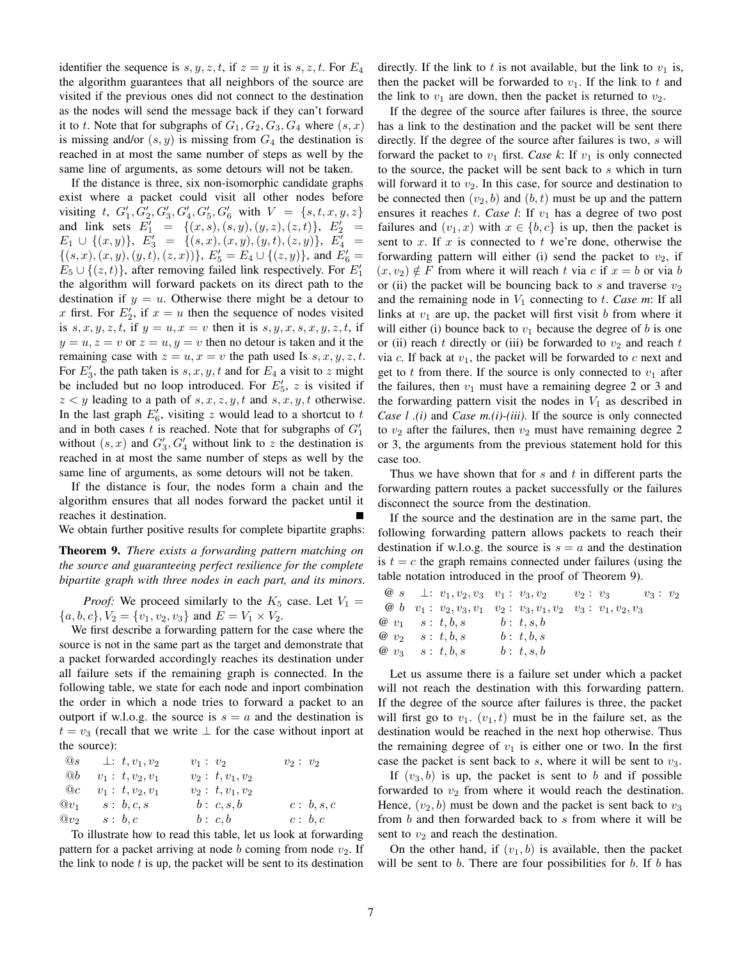identifier the sequence is  $s, y, z, t$ , if  $z = y$  it is  $s, z, t$ . For  $E_4$ the algorithm guarantees that all neighbors of the source are visited if the previous ones did not connect to the destination as the nodes will send the message back if they can't forward it to t. Note that for subgraphs of  $G_1, G_2, G_3, G_4$  where  $(s, x)$ is missing and/or  $(s, y)$  is missing from  $G_4$  the destination is reached in at most the same number of steps as well by the same line of arguments, as some detours will not be taken.

If the distance is three, six non-isomorphic candidate graphs exist where a packet could visit all other nodes before visiting t,  $G'_1, G'_2, G'_3, G'_4, G'_5, G'_6$  with  $V = \{s, t, x, y, z\}$ and link sets  $E'_1 = \{(x, s), (s, y), (y, z), (z, t)\}, E'_2 =$  $E_1 \cup \{(x,y)\}, E'_3 = \{(s,x),(x,y),(y,t),(z,y)\}, E'_4 =$  $\{(s, x), (x, y), (y, t), (z, x))\}, E'_{5} = E_{4} \cup \{(z, y)\},$  and  $E'_{6} =$  $E_5 \cup \{(z,t)\}\text{, after removing failed link respectively. For } E_1'$ the algorithm will forward packets on its direct path to the destination if  $y = u$ . Otherwise there might be a detour to x first. For  $E'_2$ , if  $x = u$  then the sequence of nodes visited is  $s, x, y, z, t$ , if  $y = u, x = v$  then it is  $s, y, x, s, x, y, z, t$ , if  $y = u, z = v$  or  $z = u, y = v$  then no detour is taken and it the remaining case with  $z = u, x = v$  the path used Is  $s, x, y, z, t$ . For  $E'_3$ , the path taken is  $s, x, y, t$  and for  $E_4$  a visit to z might be included but no loop introduced. For  $E'_5$ , z is visited if  $z < y$  leading to a path of  $s, x, z, y, t$  and  $s, x, y, t$  otherwise. In the last graph  $E'_6$ , visiting z would lead to a shortcut to t and in both cases  $t$  is reached. Note that for subgraphs of  $G'_1$ without  $(s, x)$  and  $G'_3, G'_4$  without link to z the destination is reached in at most the same number of steps as well by the same line of arguments, as some detours will not be taken.

If the distance is four, the nodes form a chain and the algorithm ensures that all nodes forward the packet until it reaches it destination.

We obtain further positive results for complete bipartite graphs:

Theorem 9. *There exists a forwarding pattern matching on the source and guaranteeing perfect resilience for the complete bipartite graph with three nodes in each part, and its minors.*

*Proof:* We proceed similarly to the  $K_5$  case. Let  $V_1$  =  ${a, b, c}$ ,  $V_2 = {v_1, v_2, v_3}$  and  $E = V_1 \times V_2$ .

We first describe a forwarding pattern for the case where the source is not in the same part as the target and demonstrate that a packet forwarded accordingly reaches its destination under all failure sets if the remaining graph is connected. In the following table, we state for each node and inport combination the order in which a node tries to forward a packet to an outport if w.l.o.g. the source is  $s = a$  and the destination is  $t = v_3$  (recall that we write  $\perp$  for the case without inport at the source):

| $(0)$ s | $\perp: t, v_1, v_2$ | $v_1: v_2$         | $v_2: v_2$ |
|---------|----------------------|--------------------|------------|
| @b      | $v_1: t, v_2, v_1$   | $v_2: t, v_1, v_2$ |            |
| @c      | $v_1: t, v_2, v_1$   | $v_2: t, v_1, v_2$ |            |
| $@v_1$  | s : b, c, s          | b : c, s, b        | c: b, s, c |
| $@v_2$  | s : b, c             | b : c, b           | c: b.c     |

To illustrate how to read this table, let us look at forwarding pattern for a packet arriving at node b coming from node  $v_2$ . If the link to node  $t$  is up, the packet will be sent to its destination directly. If the link to t is not available, but the link to  $v_1$  is, then the packet will be forwarded to  $v_1$ . If the link to t and the link to  $v_1$  are down, then the packet is returned to  $v_2$ .

If the degree of the source after failures is three, the source has a link to the destination and the packet will be sent there directly. If the degree of the source after failures is two, s will forward the packet to  $v_1$  first. *Case k*: If  $v_1$  is only connected to the source, the packet will be sent back to s which in turn will forward it to  $v_2$ . In this case, for source and destination to be connected then  $(v_2, b)$  and  $(b, t)$  must be up and the pattern ensures it reaches  $t$ . *Case l*: If  $v_1$  has a degree of two post failures and  $(v_1, x)$  with  $x \in \{b, c\}$  is up, then the packet is sent to x. If x is connected to t we're done, otherwise the forwarding pattern will either (i) send the packet to  $v_2$ , if  $(x, v_2) \notin F$  from where it will reach t via c if  $x = b$  or via b or (ii) the packet will be bouncing back to s and traverse  $v_2$ and the remaining node in  $V_1$  connecting to t. *Case m*: If all links at  $v_1$  are up, the packet will first visit b from where it will either (i) bounce back to  $v_1$  because the degree of b is one or (ii) reach t directly or (iii) be forwarded to  $v_2$  and reach t via c. If back at  $v_1$ , the packet will be forwarded to c next and get to t from there. If the source is only connected to  $v_1$  after the failures, then  $v_1$  must have a remaining degree 2 or 3 and the forwarding pattern visit the nodes in  $V_1$  as described in *Case l .(i)* and *Case m.(i)-(iii)*. If the source is only connected to  $v_2$  after the failures, then  $v_2$  must have remaining degree 2 or 3, the arguments from the previous statement hold for this case too.

Thus we have shown that for  $s$  and  $t$  in different parts the forwarding pattern routes a packet successfully or the failures disconnect the source from the destination.

If the source and the destination are in the same part, the following forwarding pattern allows packets to reach their destination if w.l.o.g. the source is  $s = a$  and the destination is  $t = c$  the graph remains connected under failures (using the table notation introduced in the proof of Theorem 9).

|                           | $\omega$ s $\perp$ : $v_1, v_2, v_3$ $v_1$ : $v_3, v_2$ |                                                                               | $v_2: v_3$ | $v_3$ : $v_2$ |  |
|---------------------------|---------------------------------------------------------|-------------------------------------------------------------------------------|------------|---------------|--|
|                           |                                                         | @ $b$ $v_1$ : $v_2, v_3, v_1$ $v_2$ : $v_3, v_1, v_2$ $v_3$ : $v_1, v_2, v_3$ |            |               |  |
|                           | $\omega$ $v_1$ $s: t, b, s$ $b: t, s, b$                |                                                                               |            |               |  |
|                           | $\omega_0$ $s : t, b, s$                                | b: t, b, s                                                                    |            |               |  |
| $\omega_{3}$ $s: t, b, s$ |                                                         | b: t, s, b                                                                    |            |               |  |

Let us assume there is a failure set under which a packet will not reach the destination with this forwarding pattern. If the degree of the source after failures is three, the packet will first go to  $v_1$ .  $(v_1, t)$  must be in the failure set, as the destination would be reached in the next hop otherwise. Thus the remaining degree of  $v_1$  is either one or two. In the first case the packet is sent back to  $s$ , where it will be sent to  $v_3$ .

If  $(v_3, b)$  is up, the packet is sent to b and if possible forwarded to  $v_2$  from where it would reach the destination. Hence,  $(v_2, b)$  must be down and the packet is sent back to  $v_3$ from  $b$  and then forwarded back to  $s$  from where it will be sent to  $v_2$  and reach the destination.

On the other hand, if  $(v_1, b)$  is available, then the packet will be sent to  $b$ . There are four possibilities for  $b$ . If  $b$  has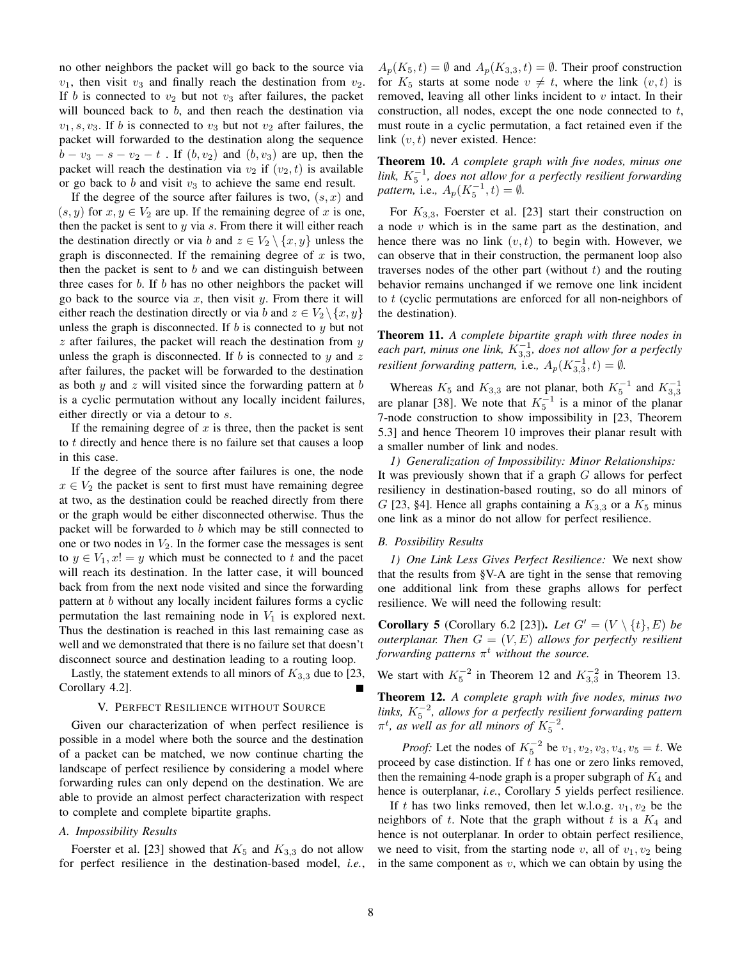no other neighbors the packet will go back to the source via  $v_1$ , then visit  $v_3$  and finally reach the destination from  $v_2$ . If b is connected to  $v_2$  but not  $v_3$  after failures, the packet will bounced back to  $b$ , and then reach the destination via  $v_1, s, v_3$ . If b is connected to  $v_3$  but not  $v_2$  after failures, the packet will forwarded to the destination along the sequence  $b - v_3 - s - v_2 - t$ . If  $(b, v_2)$  and  $(b, v_3)$  are up, then the packet will reach the destination via  $v_2$  if  $(v_2, t)$  is available or go back to  $b$  and visit  $v_3$  to achieve the same end result.

If the degree of the source after failures is two,  $(s, x)$  and  $(s, y)$  for  $x, y \in V_2$  are up. If the remaining degree of x is one, then the packet is sent to  $y$  via  $s$ . From there it will either reach the destination directly or via b and  $z \in V_2 \setminus \{x, y\}$  unless the graph is disconnected. If the remaining degree of  $x$  is two, then the packet is sent to  $b$  and we can distinguish between three cases for b. If b has no other neighbors the packet will go back to the source via  $x$ , then visit  $y$ . From there it will either reach the destination directly or via b and  $z \in V_2 \setminus \{x, y\}$ unless the graph is disconnected. If  $b$  is connected to  $y$  but not  $z$  after failures, the packet will reach the destination from  $y$ unless the graph is disconnected. If b is connected to y and z after failures, the packet will be forwarded to the destination as both  $y$  and  $z$  will visited since the forwarding pattern at  $b$ is a cyclic permutation without any locally incident failures, either directly or via a detour to s.

If the remaining degree of  $x$  is three, then the packet is sent to t directly and hence there is no failure set that causes a loop in this case.

If the degree of the source after failures is one, the node  $x \in V_2$  the packet is sent to first must have remaining degree at two, as the destination could be reached directly from there or the graph would be either disconnected otherwise. Thus the packet will be forwarded to  $b$  which may be still connected to one or two nodes in  $V_2$ . In the former case the messages is sent to  $y \in V_1$ ,  $x! = y$  which must be connected to t and the pacet will reach its destination. In the latter case, it will bounced back from from the next node visited and since the forwarding pattern at b without any locally incident failures forms a cyclic permutation the last remaining node in  $V_1$  is explored next. Thus the destination is reached in this last remaining case as well and we demonstrated that there is no failure set that doesn't disconnect source and destination leading to a routing loop.

Lastly, the statement extends to all minors of  $K_{3,3}$  due to [23, Corollary 4.2]. Г

## V. PERFECT RESILIENCE WITHOUT SOURCE

Given our characterization of when perfect resilience is possible in a model where both the source and the destination of a packet can be matched, we now continue charting the landscape of perfect resilience by considering a model where forwarding rules can only depend on the destination. We are able to provide an almost perfect characterization with respect to complete and complete bipartite graphs.

## *A. Impossibility Results*

Foerster et al. [23] showed that  $K_5$  and  $K_{3,3}$  do not allow for perfect resilience in the destination-based model, *i.e.*,  $A_p(K_5, t) = \emptyset$  and  $A_p(K_{3,3}, t) = \emptyset$ . Their proof construction for  $K_5$  starts at some node  $v \neq t$ , where the link  $(v, t)$  is removed, leaving all other links incident to  $v$  intact. In their construction, all nodes, except the one node connected to t, must route in a cyclic permutation, a fact retained even if the link  $(v, t)$  never existed. Hence:

Theorem 10. *A complete graph with five nodes, minus one*  $\lim_{k} K_5^{-1}$ , does not allow for a perfectly resilient forwarding *pattern,* i.e.,  $A_p(K_5^{-1}, t) = \emptyset$ .

For  $K_{3,3}$ , Foerster et al. [23] start their construction on a node  $v$  which is in the same part as the destination, and hence there was no link  $(v, t)$  to begin with. However, we can observe that in their construction, the permanent loop also traverses nodes of the other part (without  $t$ ) and the routing behavior remains unchanged if we remove one link incident to  $t$  (cyclic permutations are enforced for all non-neighbors of the destination).

Theorem 11. *A complete bipartite graph with three nodes in* each part, minus one link,  $K_{3,3}^{-1}$ , does not allow for a perfectly *resilient forwarding pattern, i.e.,*  $A_p(K_{3,3}^{-1}, t) = \emptyset$ .

Whereas  $K_5$  and  $K_{3,3}$  are not planar, both  $K_5^{-1}$  and  $K_{3,3}^{-1}$ are planar [38]. We note that  $K_5^{-1}$  is a minor of the planar 7-node construction to show impossibility in [23, Theorem 5.3] and hence Theorem 10 improves their planar result with a smaller number of link and nodes.

*1) Generalization of Impossibility: Minor Relationships:* It was previously shown that if a graph  $G$  allows for perfect resiliency in destination-based routing, so do all minors of G [23, §4]. Hence all graphs containing a  $K_{3,3}$  or a  $K_5$  minus one link as a minor do not allow for perfect resilience.

#### *B. Possibility Results*

*1) One Link Less Gives Perfect Resilience:* We next show that the results from §V-A are tight in the sense that removing one additional link from these graphs allows for perfect resilience. We will need the following result:

**Corollary 5** (Corollary 6.2 [23]). *Let*  $G' = (V \setminus \{t\}, E)$  *be outerplanar. Then* G = (V, E) *allows for perfectly resilient forwarding patterns*  $\pi^t$  *without the source.* 

We start with  $K_5^{-2}$  in Theorem 12 and  $K_{3,3}^{-2}$  in Theorem 13.

Theorem 12. *A complete graph with five nodes, minus two*  $\frac{1}{10}$   $K_{5}^{-2}$ , allows for a perfectly resilient forwarding pattern  $\pi^t$ , as well as for all minors of  $K_5^{-2}$ .

*Proof:* Let the nodes of  $K_5^{-2}$  be  $v_1, v_2, v_3, v_4, v_5 = t$ . We proceed by case distinction. If  $t$  has one or zero links removed, then the remaining 4-node graph is a proper subgraph of  $K_4$  and hence is outerplanar, *i.e.*, Corollary 5 yields perfect resilience.

If t has two links removed, then let w.l.o.g.  $v_1, v_2$  be the neighbors of t. Note that the graph without t is a  $K_4$  and hence is not outerplanar. In order to obtain perfect resilience, we need to visit, from the starting node v, all of  $v_1, v_2$  being in the same component as  $v$ , which we can obtain by using the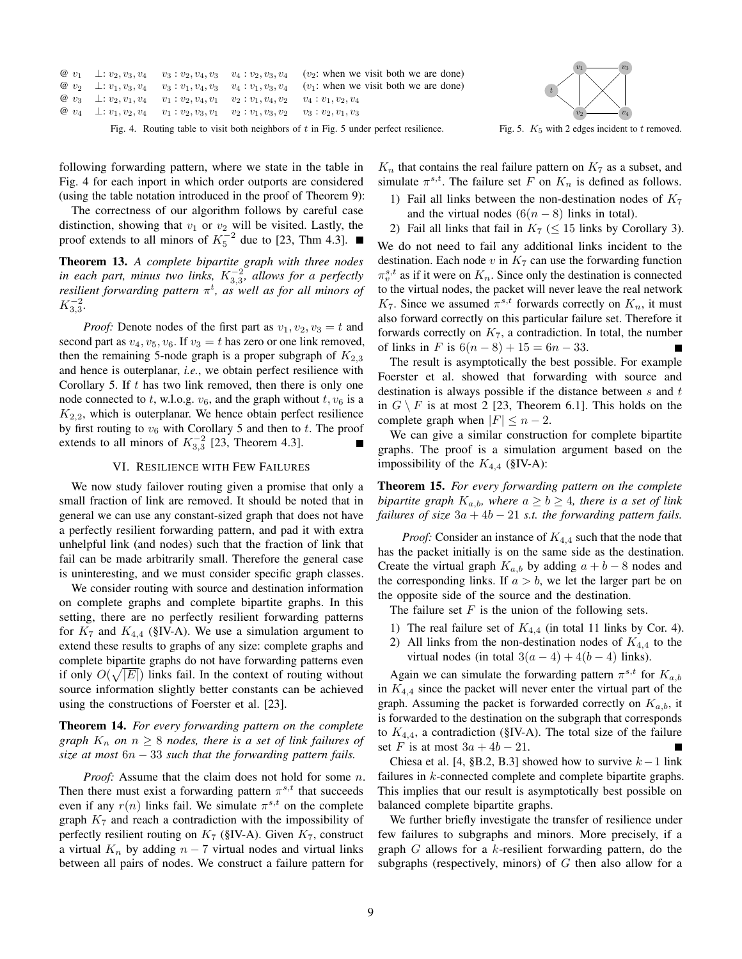|  |                                                                                                                       | @ $v_1 \perp v_2, v_3, v_4 \quad v_3 : v_2, v_4, v_3 \quad v_4 : v_2, v_3, v_4 \quad (v_2$ : when we visit both we are done) |
|--|-----------------------------------------------------------------------------------------------------------------------|------------------------------------------------------------------------------------------------------------------------------|
|  |                                                                                                                       | @ $v_2 \perp v_1, v_3, v_4 \quad v_3 : v_1, v_4, v_3 \quad v_4 : v_1, v_3, v_4 \quad (v_1$ : when we visit both we are done) |
|  | $\varnothing$ $v_3$ $\perp$ : $v_2, v_1, v_4$ $v_1$ : $v_2, v_4, v_1$ $v_2$ : $v_1, v_4, v_2$ $v_4$ : $v_1, v_2, v_4$ |                                                                                                                              |
|  | @ $v_4$ $\perp$ : $v_1, v_2, v_4$ $v_1$ : $v_2, v_3, v_1$ $v_2$ : $v_1, v_3, v_2$ $v_3$ : $v_2, v_1, v_3$             |                                                                                                                              |
|  |                                                                                                                       |                                                                                                                              |

Fig. 4. Routing table to visit both neighbors of  $t$  in Fig. 5 under perfect resilience.



Fig. 5.  $K_5$  with 2 edges incident to t removed.

following forwarding pattern, where we state in the table in Fig. 4 for each inport in which order outports are considered (using the table notation introduced in the proof of Theorem 9):

The correctness of our algorithm follows by careful case distinction, showing that  $v_1$  or  $v_2$  will be visited. Lastly, the proof extends to all minors of  $K_5^{-2}$  due to [23, Thm 4.3].

Theorem 13. *A complete bipartite graph with three nodes* in each part, minus two links,  $K_{3,3}^{-2}$ , allows for a perfectly *resilient forwarding pattern* π t *, as well as for all minors of*  $K_{3,3}^{-2}$ .

*Proof:* Denote nodes of the first part as  $v_1, v_2, v_3 = t$  and second part as  $v_4$ ,  $v_5$ ,  $v_6$ . If  $v_3 = t$  has zero or one link removed, then the remaining 5-node graph is a proper subgraph of  $K_{2,3}$ and hence is outerplanar, *i.e.*, we obtain perfect resilience with Corollary 5. If  $t$  has two link removed, then there is only one node connected to t, w.l.o.g.  $v_6$ , and the graph without  $t, v_6$  is a  $K_{2,2}$ , which is outerplanar. We hence obtain perfect resilience by first routing to  $v_6$  with Corollary 5 and then to t. The proof extends to all minors of  $K_{3,3}^{-2}$  [23, Theorem 4.3].

#### VI. RESILIENCE WITH FEW FAILURES

We now study failover routing given a promise that only a small fraction of link are removed. It should be noted that in general we can use any constant-sized graph that does not have a perfectly resilient forwarding pattern, and pad it with extra unhelpful link (and nodes) such that the fraction of link that fail can be made arbitrarily small. Therefore the general case is uninteresting, and we must consider specific graph classes.

We consider routing with source and destination information on complete graphs and complete bipartite graphs. In this setting, there are no perfectly resilient forwarding patterns for  $K_7$  and  $K_{4,4}$  (§IV-A). We use a simulation argument to extend these results to graphs of any size: complete graphs and complete bipartite graphs do not have forwarding patterns even if only  $O(\sqrt{|E|})$  links fail. In the context of routing without source information slightly better constants can be achieved using the constructions of Foerster et al. [23].

# Theorem 14. *For every forwarding pattern on the complete graph*  $K_n$  *on*  $n \geq 8$  *nodes, there is a set of link failures of size at most* 6n − 33 *such that the forwarding pattern fails.*

*Proof:* Assume that the claim does not hold for some *n*. Then there must exist a forwarding pattern  $\pi^{s,t}$  that succeeds even if any  $r(n)$  links fail. We simulate  $\pi^{s,t}$  on the complete graph  $K<sub>7</sub>$  and reach a contradiction with the impossibility of perfectly resilient routing on  $K_7$  (§IV-A). Given  $K_7$ , construct a virtual  $K_n$  by adding  $n-7$  virtual nodes and virtual links between all pairs of nodes. We construct a failure pattern for

 $K_n$  that contains the real failure pattern on  $K_7$  as a subset, and simulate  $\pi^{s,t}$ . The failure set F on  $K_n$  is defined as follows.

1) Fail all links between the non-destination nodes of  $K_7$ and the virtual nodes  $(6(n-8)$  links in total).

2) Fail all links that fail in  $K_7 \leq 15$  links by Corollary 3). We do not need to fail any additional links incident to the destination. Each node  $v$  in  $K_7$  can use the forwarding function  $\pi_v^{s,t}$  as if it were on  $K_n$ . Since only the destination is connected to the virtual nodes, the packet will never leave the real network  $K_7$ . Since we assumed  $\pi^{s,t}$  forwards correctly on  $K_n$ , it must also forward correctly on this particular failure set. Therefore it forwards correctly on  $K_7$ , a contradiction. In total, the number of links in F is  $6(n-8) + 15 = 6n - 33$ .

The result is asymptotically the best possible. For example Foerster et al. showed that forwarding with source and destination is always possible if the distance between  $s$  and  $t$ in  $G \setminus F$  is at most 2 [23, Theorem 6.1]. This holds on the complete graph when  $|F| \leq n-2$ .

We can give a similar construction for complete bipartite graphs. The proof is a simulation argument based on the impossibility of the  $K_{4,4}$  (§IV-A):

Theorem 15. *For every forwarding pattern on the complete bipartite graph*  $K_{a,b}$ *, where*  $a \ge b \ge 4$ *, there is a set of link failures of size*  $3a + 4b - 21$  *s.t. the forwarding pattern fails.* 

*Proof:* Consider an instance of  $K_{4,4}$  such that the node that has the packet initially is on the same side as the destination. Create the virtual graph  $K_{a,b}$  by adding  $a + b - 8$  nodes and the corresponding links. If  $a > b$ , we let the larger part be on the opposite side of the source and the destination.

The failure set  $F$  is the union of the following sets.

- 1) The real failure set of  $K_{4,4}$  (in total 11 links by Cor. 4).
- 2) All links from the non-destination nodes of  $K_{4,4}$  to the virtual nodes (in total  $3(a-4) + 4(b-4)$  links).

Again we can simulate the forwarding pattern  $\pi^{s,t}$  for  $K_{a,b}$ in  $K_{4,4}$  since the packet will never enter the virtual part of the graph. Assuming the packet is forwarded correctly on  $K_{a,b}$ , it is forwarded to the destination on the subgraph that corresponds to  $K_{4,4}$ , a contradiction (§IV-A). The total size of the failure set F is at most  $3a + 4b - 21$ .

Chiesa et al. [4, §B.2, B.3] showed how to survive  $k-1$  link failures in k-connected complete and complete bipartite graphs. This implies that our result is asymptotically best possible on balanced complete bipartite graphs.

We further briefly investigate the transfer of resilience under few failures to subgraphs and minors. More precisely, if a graph  $G$  allows for a k-resilient forwarding pattern, do the subgraphs (respectively, minors) of  $G$  then also allow for a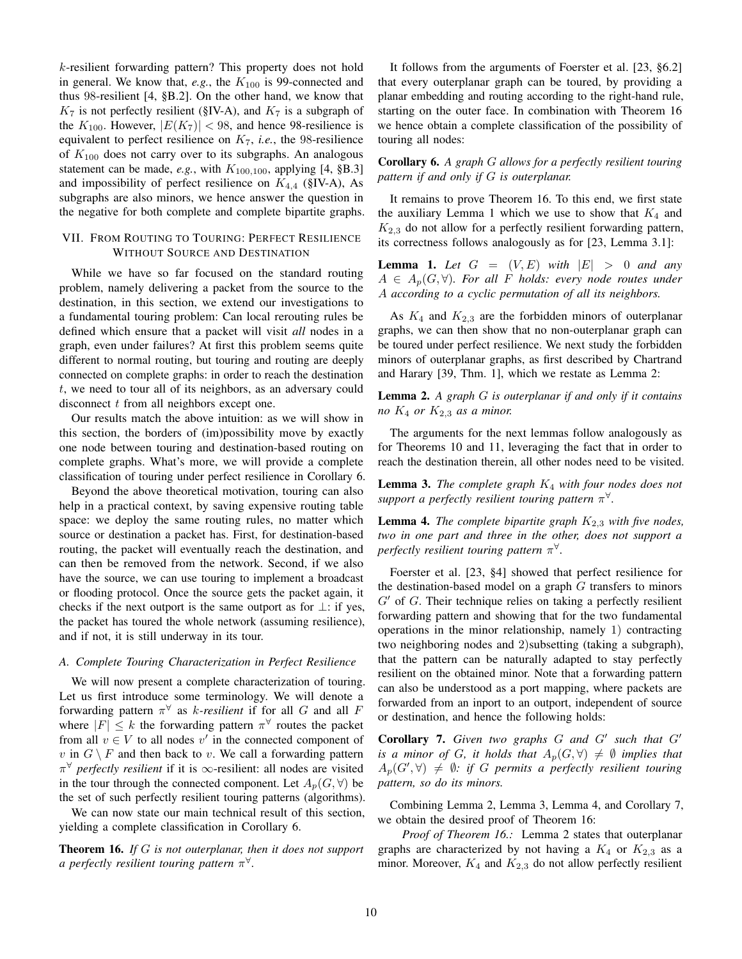k-resilient forwarding pattern? This property does not hold in general. We know that,  $e.g.,$  the  $K_{100}$  is 99-connected and thus 98-resilient [4, §B.2]. On the other hand, we know that  $K_7$  is not perfectly resilient (§IV-A), and  $K_7$  is a subgraph of the  $K_{100}$ . However,  $|E(K_7)| < 98$ , and hence 98-resilience is equivalent to perfect resilience on  $K_7$ , *i.e.*, the 98-resilience of  $K_{100}$  does not carry over to its subgraphs. An analogous statement can be made, *e.g.*, with  $K_{100,100}$ , applying [4, §B.3] and impossibility of perfect resilience on  $K_{4,4}$  (§IV-A), As subgraphs are also minors, we hence answer the question in the negative for both complete and complete bipartite graphs.

# VII. FROM ROUTING TO TOURING: PERFECT RESILIENCE WITHOUT SOURCE AND DESTINATION

While we have so far focused on the standard routing problem, namely delivering a packet from the source to the destination, in this section, we extend our investigations to a fundamental touring problem: Can local rerouting rules be defined which ensure that a packet will visit *all* nodes in a graph, even under failures? At first this problem seems quite different to normal routing, but touring and routing are deeply connected on complete graphs: in order to reach the destination t, we need to tour all of its neighbors, as an adversary could disconnect  $t$  from all neighbors except one.

Our results match the above intuition: as we will show in this section, the borders of (im)possibility move by exactly one node between touring and destination-based routing on complete graphs. What's more, we will provide a complete classification of touring under perfect resilience in Corollary 6.

Beyond the above theoretical motivation, touring can also help in a practical context, by saving expensive routing table space: we deploy the same routing rules, no matter which source or destination a packet has. First, for destination-based routing, the packet will eventually reach the destination, and can then be removed from the network. Second, if we also have the source, we can use touring to implement a broadcast or flooding protocol. Once the source gets the packet again, it checks if the next outport is the same outport as for  $\perp$ : if yes, the packet has toured the whole network (assuming resilience), and if not, it is still underway in its tour.

#### *A. Complete Touring Characterization in Perfect Resilience*

We will now present a complete characterization of touring. Let us first introduce some terminology. We will denote a forwarding pattern  $\pi^{\forall}$  as *k*-resilient if for all G and all F where  $|F| \leq k$  the forwarding pattern  $\pi^{\forall}$  routes the packet from all  $v \in V$  to all nodes  $v'$  in the connected component of v in  $G \setminus F$  and then back to v. We call a forwarding pattern  $\pi^{\forall}$  *perfectly resilient* if it is  $\infty$ -resilient: all nodes are visited in the tour through the connected component. Let  $A_p(G, \forall)$  be the set of such perfectly resilient touring patterns (algorithms).

We can now state our main technical result of this section, yielding a complete classification in Corollary 6.

Theorem 16. *If* G *is not outerplanar, then it does not support a perfectly resilient touring pattern* π ∀ *.*

It follows from the arguments of Foerster et al. [23, §6.2] that every outerplanar graph can be toured, by providing a planar embedding and routing according to the right-hand rule, starting on the outer face. In combination with Theorem 16 we hence obtain a complete classification of the possibility of touring all nodes:

# Corollary 6. *A graph* G *allows for a perfectly resilient touring pattern if and only if* G *is outerplanar.*

It remains to prove Theorem 16. To this end, we first state the auxiliary Lemma 1 which we use to show that  $K_4$  and  $K_{2,3}$  do not allow for a perfectly resilient forwarding pattern, its correctness follows analogously as for [23, Lemma 3.1]:

**Lemma 1.** Let  $G = (V, E)$  with  $|E| > 0$  and any  $A \in A_p(G, \forall)$ *. For all F holds: every node routes under* A *according to a cyclic permutation of all its neighbors.*

As  $K_4$  and  $K_{2,3}$  are the forbidden minors of outerplanar graphs, we can then show that no non-outerplanar graph can be toured under perfect resilience. We next study the forbidden minors of outerplanar graphs, as first described by Chartrand and Harary [39, Thm. 1], which we restate as Lemma 2:

Lemma 2. *A graph* G *is outerplanar if and only if it contains no*  $K_4$  *or*  $K_{2,3}$  *as a minor.* 

The arguments for the next lemmas follow analogously as for Theorems 10 and 11, leveraging the fact that in order to reach the destination therein, all other nodes need to be visited.

Lemma 3. *The complete graph* K<sup>4</sup> *with four nodes does not support a perfectly resilient touring pattern* π ∀ *.*

**Lemma 4.** *The complete bipartite graph*  $K_{2,3}$  *with five nodes, two in one part and three in the other, does not support a perfectly resilient touring pattern* π ∀ *.*

Foerster et al. [23, §4] showed that perfect resilience for the destination-based model on a graph  $G$  transfers to minors  $G'$  of G. Their technique relies on taking a perfectly resilient forwarding pattern and showing that for the two fundamental operations in the minor relationship, namely 1) contracting two neighboring nodes and 2)subsetting (taking a subgraph), that the pattern can be naturally adapted to stay perfectly resilient on the obtained minor. Note that a forwarding pattern can also be understood as a port mapping, where packets are forwarded from an inport to an outport, independent of source or destination, and hence the following holds:

Corollary 7. *Given two graphs* G *and* G′ *such that* G′ *is a minor of G, it holds that*  $A_p(G, \forall) \neq \emptyset$  *implies that*  $A_p(G', \forall) \neq \emptyset$ : if G permits a perfectly resilient touring *pattern, so do its minors.*

Combining Lemma 2, Lemma 3, Lemma 4, and Corollary 7, we obtain the desired proof of Theorem 16:

*Proof of Theorem 16.:* Lemma 2 states that outerplanar graphs are characterized by not having a  $K_4$  or  $K_{2,3}$  as a minor. Moreover,  $K_4$  and  $K_{2,3}$  do not allow perfectly resilient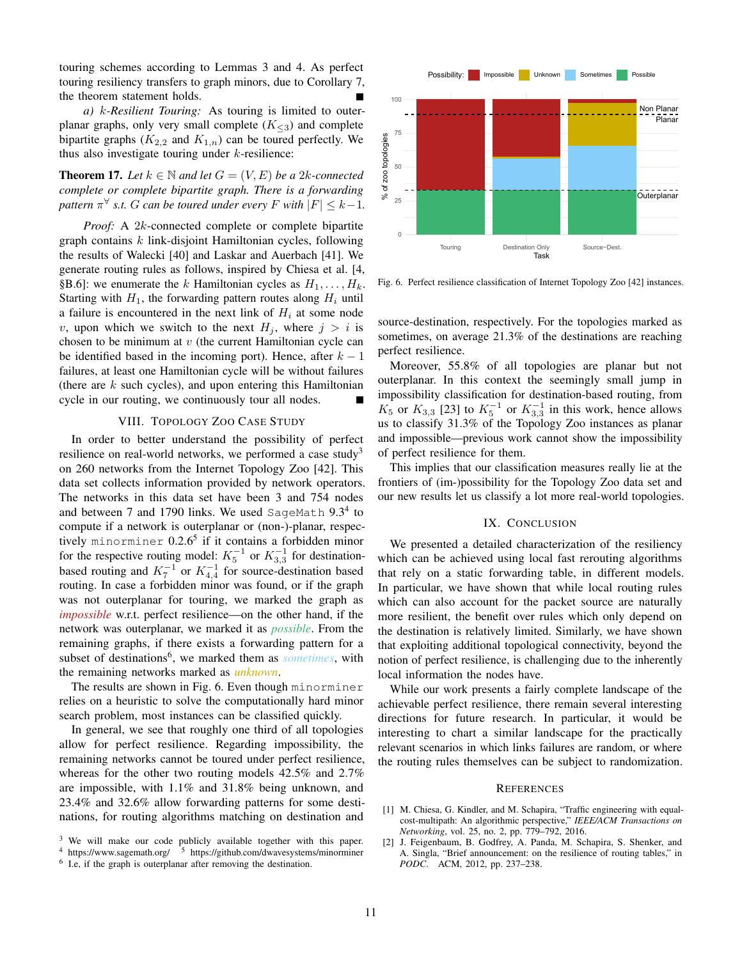touring schemes according to Lemmas 3 and 4. As perfect touring resiliency transfers to graph minors, due to Corollary 7, the theorem statement holds.

*a)* k*-Resilient Touring:* As touring is limited to outerplanar graphs, only very small complete  $(K_{\leq 3})$  and complete bipartite graphs  $(K_{2,2}$  and  $K_{1,n}$ ) can be toured perfectly. We thus also investigate touring under  $k$ -resilience:

**Theorem 17.** Let  $k \in \mathbb{N}$  and let  $G = (V, E)$  be a 2k-connected *complete or complete bipartite graph. There is a forwarding pattern*  $\pi^{\forall}$  *s.t. G can be toured under every F with*  $|F| \leq k-1$ *.* 

*Proof:* A 2k-connected complete or complete bipartite graph contains  $k$  link-disjoint Hamiltonian cycles, following the results of Walecki [40] and Laskar and Auerbach [41]. We generate routing rules as follows, inspired by Chiesa et al. [4, §B.6]: we enumerate the k Hamiltonian cycles as  $H_1, \ldots, H_k$ . Starting with  $H_1$ , the forwarding pattern routes along  $H_i$  until a failure is encountered in the next link of  $H_i$  at some node v, upon which we switch to the next  $H_i$ , where  $j > i$  is chosen to be minimum at  $v$  (the current Hamiltonian cycle can be identified based in the incoming port). Hence, after  $k - 1$ failures, at least one Hamiltonian cycle will be without failures (there are  $k$  such cycles), and upon entering this Hamiltonian cycle in our routing, we continuously tour all nodes.

## VIII. TOPOLOGY ZOO CASE STUDY

In order to better understand the possibility of perfect resilience on real-world networks, we performed a case study<sup>3</sup> on 260 networks from the Internet Topology Zoo [42]. This data set collects information provided by network operators. The networks in this data set have been 3 and 754 nodes and between 7 and 1790 links. We used SageMath  $9.3<sup>4</sup>$  to compute if a network is outerplanar or (non-)-planar, respectively minorminer 0.2.6<sup>5</sup> if it contains a forbidden minor for the respective routing model:  $K_5^{-1}$  or  $K_{3,3}^{-1}$  for destinationbased routing and  $K_7^{-1}$  or  $K_{4,4}^{-1}$  for source-destination based routing. In case a forbidden minor was found, or if the graph was not outerplanar for touring, we marked the graph as *impossible* w.r.t. perfect resilience—on the other hand, if the network was outerplanar, we marked it as *possible*. From the remaining graphs, if there exists a forwarding pattern for a subset of destinations<sup>6</sup>, we marked them as *sometimes*, with the remaining networks marked as *unknown*.

The results are shown in Fig. 6. Even though minorminer relies on a heuristic to solve the computationally hard minor search problem, most instances can be classified quickly.

In general, we see that roughly one third of all topologies allow for perfect resilience. Regarding impossibility, the remaining networks cannot be toured under perfect resilience, whereas for the other two routing models 42.5% and 2.7% are impossible, with 1.1% and 31.8% being unknown, and 23.4% and 32.6% allow forwarding patterns for some destinations, for routing algorithms matching on destination and



Fig. 6. Perfect resilience classification of Internet Topology Zoo [42] instances.

source-destination, respectively. For the topologies marked as sometimes, on average 21.3% of the destinations are reaching perfect resilience.

Moreover, 55.8% of all topologies are planar but not outerplanar. In this context the seemingly small jump in impossibility classification for destination-based routing, from  $K_5$  or  $K_{3,3}$  [23] to  $K_5^{-1}$  or  $K_{3,3}^{-1}$  in this work, hence allows us to classify 31.3% of the Topology Zoo instances as planar and impossible—previous work cannot show the impossibility of perfect resilience for them.

This implies that our classification measures really lie at the frontiers of (im-)possibility for the Topology Zoo data set and our new results let us classify a lot more real-world topologies.

#### IX. CONCLUSION

We presented a detailed characterization of the resiliency which can be achieved using local fast rerouting algorithms that rely on a static forwarding table, in different models. In particular, we have shown that while local routing rules which can also account for the packet source are naturally more resilient, the benefit over rules which only depend on the destination is relatively limited. Similarly, we have shown that exploiting additional topological connectivity, beyond the notion of perfect resilience, is challenging due to the inherently local information the nodes have.

While our work presents a fairly complete landscape of the achievable perfect resilience, there remain several interesting directions for future research. In particular, it would be interesting to chart a similar landscape for the practically relevant scenarios in which links failures are random, or where the routing rules themselves can be subject to randomization.

#### **REFERENCES**

- [1] M. Chiesa, G. Kindler, and M. Schapira, "Traffic engineering with equalcost-multipath: An algorithmic perspective," *IEEE/ACM Transactions on Networking*, vol. 25, no. 2, pp. 779–792, 2016.
- [2] J. Feigenbaum, B. Godfrey, A. Panda, M. Schapira, S. Shenker, and A. Singla, "Brief announcement: on the resilience of routing tables," in *PODC*. ACM, 2012, pp. 237–238.

<sup>&</sup>lt;sup>3</sup> We will make our code publicly available together with this paper.

<sup>4</sup> https://www.sagemath.org/ <sup>5</sup> https://github.com/dwavesystems/minorminer

<sup>&</sup>lt;sup>6</sup> I.e, if the graph is outerplanar after removing the destination.